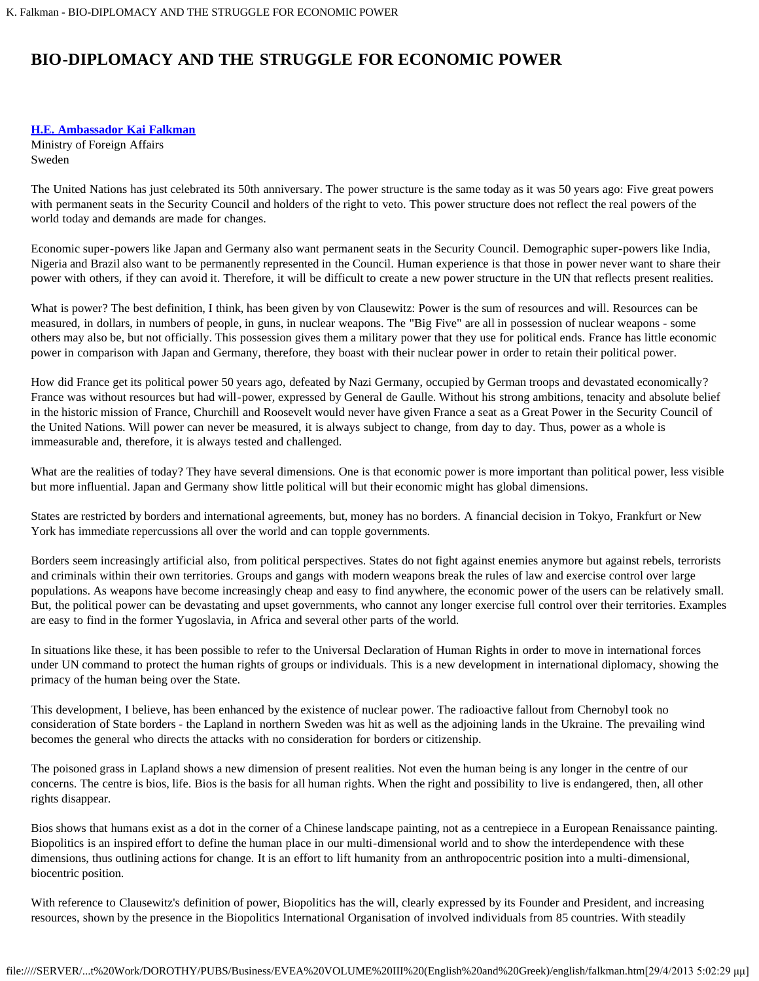## **BIO-DIPLOMACY AND THE STRUGGLE FOR ECONOMIC POWER**

## **[H.E. Ambassador Kai Falkman](#page-1-0)**

Ministry of Foreign Affairs Sweden

The United Nations has just celebrated its 50th anniversary. The power structure is the same today as it was 50 years ago: Five great powers with permanent seats in the Security Council and holders of the right to veto. This power structure does not reflect the real powers of the world today and demands are made for changes.

Economic super-powers like Japan and Germany also want permanent seats in the Security Council. Demographic super-powers like India, Nigeria and Brazil also want to be permanently represented in the Council. Human experience is that those in power never want to share their power with others, if they can avoid it. Therefore, it will be difficult to create a new power structure in the UN that reflects present realities.

What is power? The best definition, I think, has been given by von Clausewitz: Power is the sum of resources and will. Resources can be measured, in dollars, in numbers of people, in guns, in nuclear weapons. The "Big Five" are all in possession of nuclear weapons - some others may also be, but not officially. This possession gives them a military power that they use for political ends. France has little economic power in comparison with Japan and Germany, therefore, they boast with their nuclear power in order to retain their political power.

How did France get its political power 50 years ago, defeated by Nazi Germany, occupied by German troops and devastated economically? France was without resources but had will-power, expressed by General de Gaulle. Without his strong ambitions, tenacity and absolute belief in the historic mission of France, Churchill and Roosevelt would never have given France a seat as a Great Power in the Security Council of the United Nations. Will power can never be measured, it is always subject to change, from day to day. Thus, power as a whole is immeasurable and, therefore, it is always tested and challenged.

What are the realities of today? They have several dimensions. One is that economic power is more important than political power, less visible but more influential. Japan and Germany show little political will but their economic might has global dimensions.

States are restricted by borders and international agreements, but, money has no borders. A financial decision in Tokyo, Frankfurt or New York has immediate repercussions all over the world and can topple governments.

Borders seem increasingly artificial also, from political perspectives. States do not fight against enemies anymore but against rebels, terrorists and criminals within their own territories. Groups and gangs with modern weapons break the rules of law and exercise control over large populations. As weapons have become increasingly cheap and easy to find anywhere, the economic power of the users can be relatively small. But, the political power can be devastating and upset governments, who cannot any longer exercise full control over their territories. Examples are easy to find in the former Yugoslavia, in Africa and several other parts of the world.

In situations like these, it has been possible to refer to the Universal Declaration of Human Rights in order to move in international forces under UN command to protect the human rights of groups or individuals. This is a new development in international diplomacy, showing the primacy of the human being over the State.

This development, I believe, has been enhanced by the existence of nuclear power. The radioactive fallout from Chernobyl took no consideration of State borders - the Lapland in northern Sweden was hit as well as the adjoining lands in the Ukraine. The prevailing wind becomes the general who directs the attacks with no consideration for borders or citizenship.

The poisoned grass in Lapland shows a new dimension of present realities. Not even the human being is any longer in the centre of our concerns. The centre is bios, life. Bios is the basis for all human rights. When the right and possibility to live is endangered, then, all other rights disappear.

Bios shows that humans exist as a dot in the corner of a Chinese landscape painting, not as a centrepiece in a European Renaissance painting. Biopolitics is an inspired effort to define the human place in our multi-dimensional world and to show the interdependence with these dimensions, thus outlining actions for change. It is an effort to lift humanity from an anthropocentric position into a multi-dimensional, biocentric position.

With reference to Clausewitz's definition of power, Biopolitics has the will, clearly expressed by its Founder and President, and increasing resources, shown by the presence in the Biopolitics International Organisation of involved individuals from 85 countries. With steadily